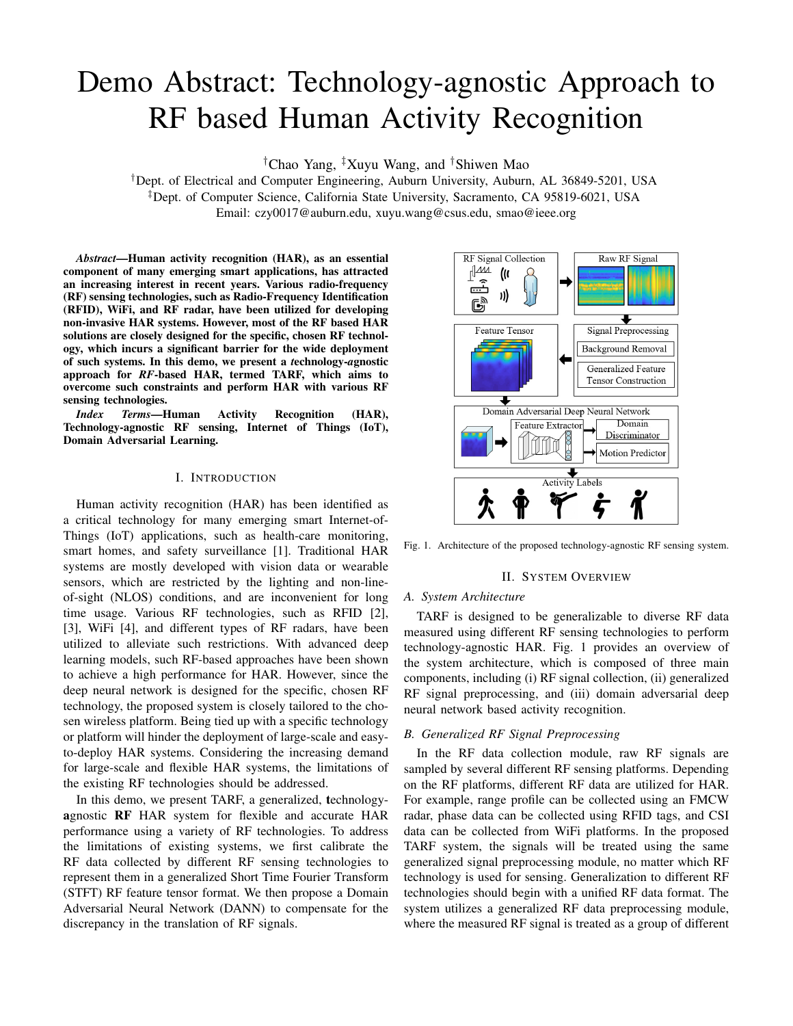# Demo Abstract: Technology-agnostic Approach to RF based Human Activity Recognition

†Chao Yang, ‡Xuyu Wang, and †Shiwen Mao

†Dept. of Electrical and Computer Engineering, Auburn University, Auburn, AL 36849-5201, USA ‡Dept. of Computer Science, California State University, Sacramento, CA 95819-6021, USA Email: czy0017@auburn.edu, xuyu.wang@csus.edu, smao@ieee.org

*Abstract*—Human activity recognition (HAR), as an essential component of many emerging smart applications, has attracted an increasing interest in recent years. Various radio-frequency (RF) sensing technologies, such as Radio-Frequency Identification (RFID), WiFi, and RF radar, have been utilized for developing non-invasive HAR systems. However, most of the RF based HAR solutions are closely designed for the specific, chosen RF technology, which incurs a significant barrier for the wide deployment of such systems. In this demo, we present a *t*echnology-*a*gnostic approach for *RF*-based HAR, termed TARF, which aims to overcome such constraints and perform HAR with various RF sensing technologies.

*Index Terms*—Human Activity Recognition (HAR), Technology-agnostic RF sensing, Internet of Things (IoT), Domain Adversarial Learning.

## I. INTRODUCTION

Human activity recognition (HAR) has been identified as a critical technology for many emerging smart Internet-of-Things (IoT) applications, such as health-care monitoring, smart homes, and safety surveillance [1]. Traditional HAR systems are mostly developed with vision data or wearable sensors, which are restricted by the lighting and non-lineof-sight (NLOS) conditions, and are inconvenient for long time usage. Various RF technologies, such as RFID [2], [3], WiFi [4], and different types of RF radars, have been utilized to alleviate such restrictions. With advanced deep learning models, such RF-based approaches have been shown to achieve a high performance for HAR. However, since the deep neural network is designed for the specific, chosen RF technology, the proposed system is closely tailored to the chosen wireless platform. Being tied up with a specific technology or platform will hinder the deployment of large-scale and easyto-deploy HAR systems. Considering the increasing demand for large-scale and flexible HAR systems, the limitations of the existing RF technologies should be addressed.

In this demo, we present TARF, a generalized, technologyagnostic RF HAR system for flexible and accurate HAR performance using a variety of RF technologies. To address the limitations of existing systems, we first calibrate the RF data collected by different RF sensing technologies to represent them in a generalized Short Time Fourier Transform (STFT) RF feature tensor format. We then propose a Domain Adversarial Neural Network (DANN) to compensate for the discrepancy in the translation of RF signals.



Fig. 1. Architecture of the proposed technology-agnostic RF sensing system.

#### II. SYSTEM OVERVIEW

## *A. System Architecture*

TARF is designed to be generalizable to diverse RF data measured using different RF sensing technologies to perform technology-agnostic HAR. Fig. 1 provides an overview of the system architecture, which is composed of three main components, including (i) RF signal collection, (ii) generalized RF signal preprocessing, and (iii) domain adversarial deep neural network based activity recognition.

# *B. Generalized RF Signal Preprocessing*

In the RF data collection module, raw RF signals are sampled by several different RF sensing platforms. Depending on the RF platforms, different RF data are utilized for HAR. For example, range profile can be collected using an FMCW radar, phase data can be collected using RFID tags, and CSI data can be collected from WiFi platforms. In the proposed TARF system, the signals will be treated using the same generalized signal preprocessing module, no matter which RF technology is used for sensing. Generalization to different RF technologies should begin with a unified RF data format. The system utilizes a generalized RF data preprocessing module, where the measured RF signal is treated as a group of different